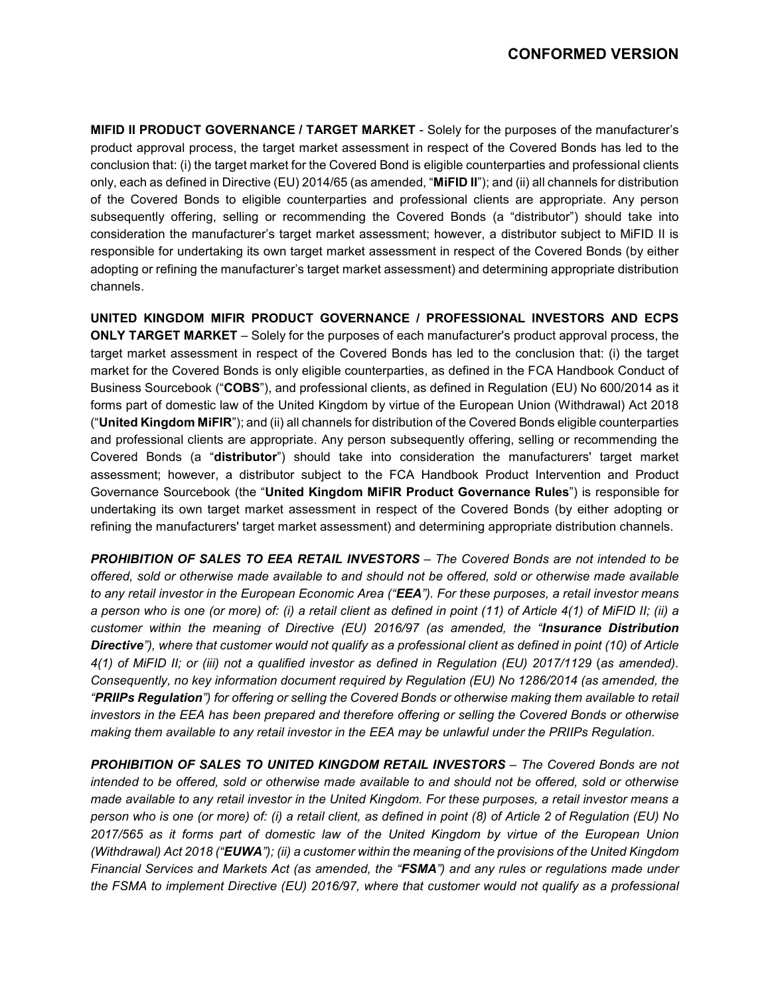# **CONFORMED VERSION**

**MIFID II PRODUCT GOVERNANCE / TARGET MARKET** - Solely for the purposes of the manufacturer's product approval process, the target market assessment in respect of the Covered Bonds has led to the conclusion that: (i) the target market for the Covered Bond is eligible counterparties and professional clients only, each as defined in Directive (EU) 2014/65 (as amended, "**MiFID II**"); and (ii) all channels for distribution of the Covered Bonds to eligible counterparties and professional clients are appropriate. Any person subsequently offering, selling or recommending the Covered Bonds (a "distributor") should take into consideration the manufacturer's target market assessment; however, a distributor subject to MiFID II is responsible for undertaking its own target market assessment in respect of the Covered Bonds (by either adopting or refining the manufacturer's target market assessment) and determining appropriate distribution channels.

**UNITED KINGDOM MIFIR PRODUCT GOVERNANCE / PROFESSIONAL INVESTORS AND ECPS ONLY TARGET MARKET** – Solely for the purposes of each manufacturer's product approval process, the target market assessment in respect of the Covered Bonds has led to the conclusion that: (i) the target market for the Covered Bonds is only eligible counterparties, as defined in the FCA Handbook Conduct of Business Sourcebook ("**COBS**"), and professional clients, as defined in Regulation (EU) No 600/2014 as it forms part of domestic law of the United Kingdom by virtue of the European Union (Withdrawal) Act 2018 ("**United Kingdom MiFIR**"); and (ii) all channels for distribution of the Covered Bonds eligible counterparties and professional clients are appropriate. Any person subsequently offering, selling or recommending the Covered Bonds (a "**distributor**") should take into consideration the manufacturers' target market assessment; however, a distributor subject to the FCA Handbook Product Intervention and Product Governance Sourcebook (the "**United Kingdom MiFIR Product Governance Rules**") is responsible for undertaking its own target market assessment in respect of the Covered Bonds (by either adopting or refining the manufacturers' target market assessment) and determining appropriate distribution channels.

*PROHIBITION OF SALES TO EEA RETAIL INVESTORS – The Covered Bonds are not intended to be offered, sold or otherwise made available to and should not be offered, sold or otherwise made available to any retail investor in the European Economic Area ("EEA"). For these purposes, a retail investor means a person who is one (or more) of: (i) a retail client as defined in point (11) of Article 4(1) of MiFID II; (ii) a customer within the meaning of Directive (EU) 2016/97 (as amended, the "Insurance Distribution Directive"), where that customer would not qualify as a professional client as defined in point (10) of Article 4(1) of MiFID II; or (iii) not a qualified investor as defined in Regulation (EU) 2017/1129 (as amended). Consequently, no key information document required by Regulation (EU) No 1286/2014 (as amended, the "PRIIPs Regulation") for offering or selling the Covered Bonds or otherwise making them available to retail investors in the EEA has been prepared and therefore offering or selling the Covered Bonds or otherwise making them available to any retail investor in the EEA may be unlawful under the PRIIPs Regulation.*

*PROHIBITION OF SALES TO UNITED KINGDOM RETAIL INVESTORS – The Covered Bonds are not intended to be offered, sold or otherwise made available to and should not be offered, sold or otherwise made available to any retail investor in the United Kingdom. For these purposes, a retail investor means a person who is one (or more) of: (i) a retail client, as defined in point (8) of Article 2 of Regulation (EU) No 2017/565 as it forms part of domestic law of the United Kingdom by virtue of the European Union (Withdrawal) Act 2018 ("EUWA"); (ii) a customer within the meaning of the provisions of the United Kingdom Financial Services and Markets Act (as amended, the "FSMA") and any rules or regulations made under the FSMA to implement Directive (EU) 2016/97, where that customer would not qualify as a professional*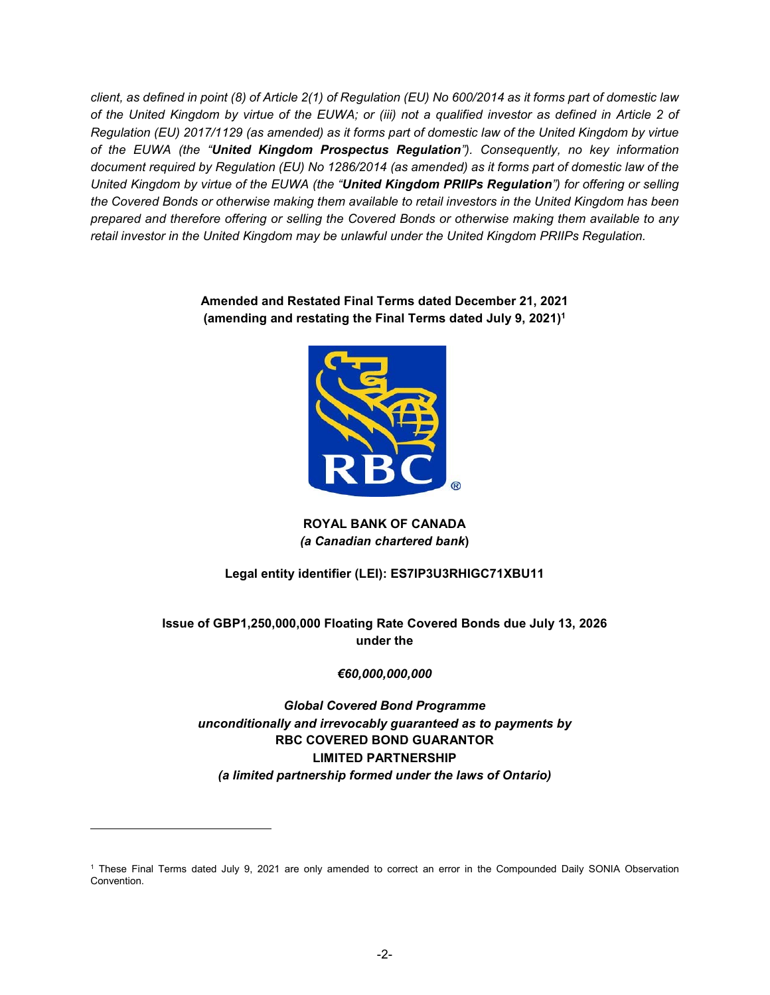*client, as defined in point (8) of Article 2(1) of Regulation (EU) No 600/2014 as it forms part of domestic law of the United Kingdom by virtue of the EUWA; or (iii) not a qualified investor as defined in Article 2 of Regulation (EU) 2017/1129 (as amended) as it forms part of domestic law of the United Kingdom by virtue of the EUWA (the "United Kingdom Prospectus Regulation"). Consequently, no key information document required by Regulation (EU) No 1286/2014 (as amended) as it forms part of domestic law of the United Kingdom by virtue of the EUWA (the "United Kingdom PRIIPs Regulation") for offering or selling the Covered Bonds or otherwise making them available to retail investors in the United Kingdom has been prepared and therefore offering or selling the Covered Bonds or otherwise making them available to any retail investor in the United Kingdom may be unlawful under the United Kingdom PRIIPs Regulation.*

## **Amended and Restated Final Terms dated December 21, 2021 (amending and restating the Final Terms dated July 9, 2021)1**



**ROYAL BANK OF CANADA**  *(a Canadian chartered bank***)** 

# **Legal entity identifier (LEI): ES7IP3U3RHIGC71XBU11**

**Issue of GBP1,250,000,000 Floating Rate Covered Bonds due July 13, 2026 under the** 

## *€60,000,000,000*

# *Global Covered Bond Programme unconditionally and irrevocably guaranteed as to payments by*  **RBC COVERED BOND GUARANTOR LIMITED PARTNERSHIP** *(a limited partnership formed under the laws of Ontario)*

-

<sup>1</sup> These Final Terms dated July 9, 2021 are only amended to correct an error in the Compounded Daily SONIA Observation Convention.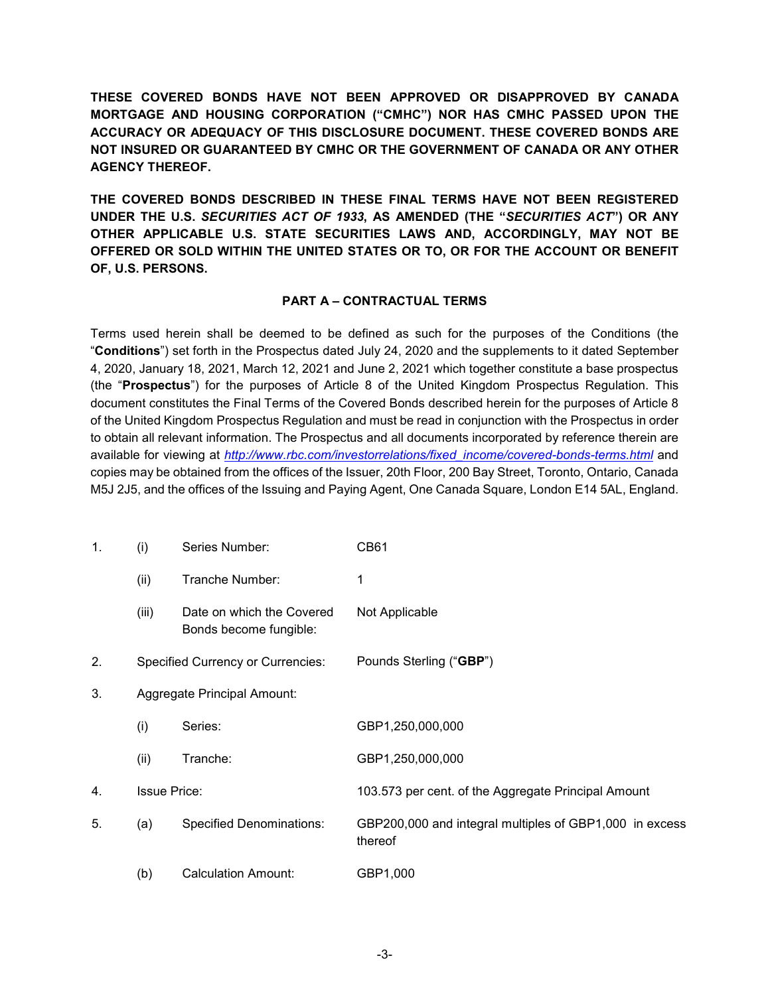**THESE COVERED BONDS HAVE NOT BEEN APPROVED OR DISAPPROVED BY CANADA MORTGAGE AND HOUSING CORPORATION ("CMHC") NOR HAS CMHC PASSED UPON THE ACCURACY OR ADEQUACY OF THIS DISCLOSURE DOCUMENT. THESE COVERED BONDS ARE NOT INSURED OR GUARANTEED BY CMHC OR THE GOVERNMENT OF CANADA OR ANY OTHER AGENCY THEREOF.** 

**THE COVERED BONDS DESCRIBED IN THESE FINAL TERMS HAVE NOT BEEN REGISTERED UNDER THE U.S.** *SECURITIES ACT OF 1933***, AS AMENDED (THE "***SECURITIES ACT***") OR ANY OTHER APPLICABLE U.S. STATE SECURITIES LAWS AND, ACCORDINGLY, MAY NOT BE OFFERED OR SOLD WITHIN THE UNITED STATES OR TO, OR FOR THE ACCOUNT OR BENEFIT OF, U.S. PERSONS.** 

#### **PART A – CONTRACTUAL TERMS**

Terms used herein shall be deemed to be defined as such for the purposes of the Conditions (the "**Conditions**") set forth in the Prospectus dated July 24, 2020 and the supplements to it dated September 4, 2020, January 18, 2021, March 12, 2021 and June 2, 2021 which together constitute a base prospectus (the "**Prospectus**") for the purposes of Article 8 of the United Kingdom Prospectus Regulation. This document constitutes the Final Terms of the Covered Bonds described herein for the purposes of Article 8 of the United Kingdom Prospectus Regulation and must be read in conjunction with the Prospectus in order to obtain all relevant information. The Prospectus and all documents incorporated by reference therein are available for viewing at *http://www.rbc.com/investorrelations/fixed\_income/covered-bonds-terms.html* and copies may be obtained from the offices of the Issuer, 20th Floor, 200 Bay Street, Toronto, Ontario, Canada M5J 2J5, and the offices of the Issuing and Paying Agent, One Canada Square, London E14 5AL, England.

| 1. | (i)                                      | Series Number:                                      | <b>CB61</b>                                                        |
|----|------------------------------------------|-----------------------------------------------------|--------------------------------------------------------------------|
|    | (ii)                                     | Tranche Number:                                     | 1                                                                  |
|    | (iii)                                    | Date on which the Covered<br>Bonds become fungible: | Not Applicable                                                     |
| 2. | <b>Specified Currency or Currencies:</b> |                                                     | Pounds Sterling ("GBP")                                            |
| 3. | Aggregate Principal Amount:              |                                                     |                                                                    |
|    | (i)                                      | Series:                                             | GBP1,250,000,000                                                   |
|    | (ii)                                     | Tranche:                                            | GBP1,250,000,000                                                   |
| 4. | <b>Issue Price:</b>                      |                                                     | 103.573 per cent. of the Aggregate Principal Amount                |
| 5. | (a)                                      | <b>Specified Denominations:</b>                     | GBP200,000 and integral multiples of GBP1,000 in excess<br>thereof |
|    | (b)                                      | <b>Calculation Amount:</b>                          | GBP1,000                                                           |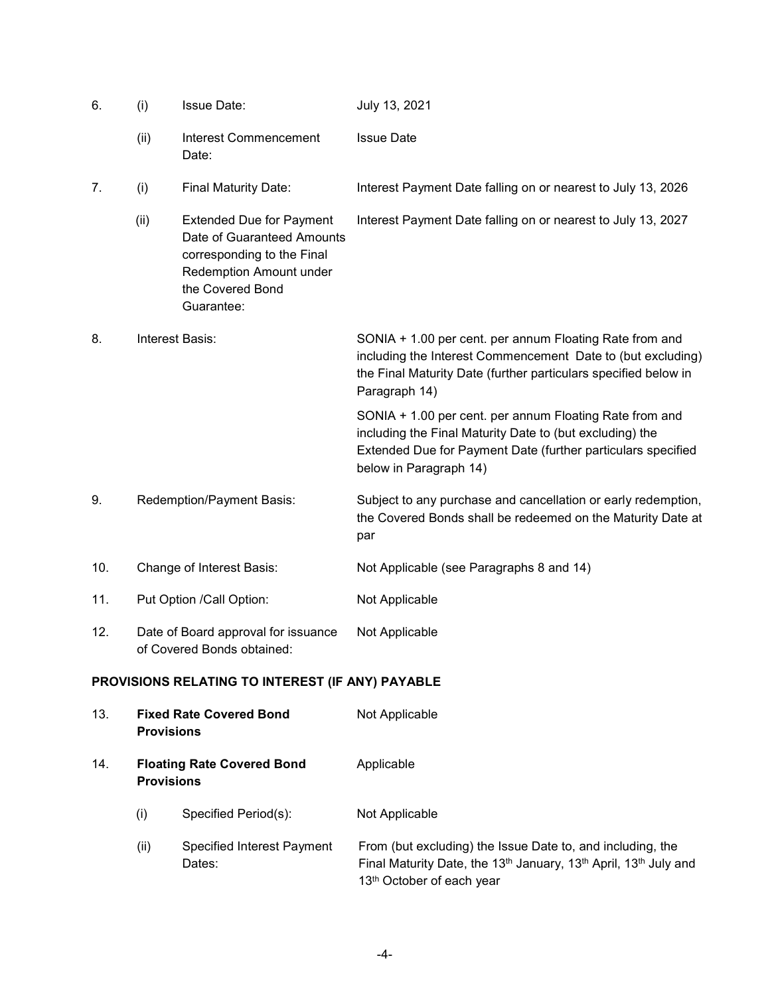| 6.  | (i)                                                               | <b>Issue Date:</b>                                                                                                                                       | July 13, 2021                                                                                                                                                                                                 |
|-----|-------------------------------------------------------------------|----------------------------------------------------------------------------------------------------------------------------------------------------------|---------------------------------------------------------------------------------------------------------------------------------------------------------------------------------------------------------------|
|     | (ii)                                                              | <b>Interest Commencement</b><br>Date:                                                                                                                    | <b>Issue Date</b>                                                                                                                                                                                             |
| 7.  | (i)                                                               | <b>Final Maturity Date:</b>                                                                                                                              | Interest Payment Date falling on or nearest to July 13, 2026                                                                                                                                                  |
|     | (ii)                                                              | <b>Extended Due for Payment</b><br>Date of Guaranteed Amounts<br>corresponding to the Final<br>Redemption Amount under<br>the Covered Bond<br>Guarantee: | Interest Payment Date falling on or nearest to July 13, 2027                                                                                                                                                  |
| 8.  | Interest Basis:                                                   |                                                                                                                                                          | SONIA + 1.00 per cent. per annum Floating Rate from and<br>including the Interest Commencement Date to (but excluding)<br>the Final Maturity Date (further particulars specified below in<br>Paragraph 14)    |
|     |                                                                   |                                                                                                                                                          | SONIA + 1.00 per cent. per annum Floating Rate from and<br>including the Final Maturity Date to (but excluding) the<br>Extended Due for Payment Date (further particulars specified<br>below in Paragraph 14) |
| 9.  | Redemption/Payment Basis:                                         |                                                                                                                                                          | Subject to any purchase and cancellation or early redemption,<br>the Covered Bonds shall be redeemed on the Maturity Date at<br>par                                                                           |
| 10. | Change of Interest Basis:                                         |                                                                                                                                                          | Not Applicable (see Paragraphs 8 and 14)                                                                                                                                                                      |
| 11. | Put Option /Call Option:                                          |                                                                                                                                                          | Not Applicable                                                                                                                                                                                                |
| 12. | Date of Board approval for issuance<br>of Covered Bonds obtained: |                                                                                                                                                          | Not Applicable                                                                                                                                                                                                |
|     |                                                                   | PROVISIONS RELATING TO INTEREST (IF ANY) PAYABLE                                                                                                         |                                                                                                                                                                                                               |
| 13. | <b>Fixed Rate Covered Bond</b><br><b>Provisions</b>               |                                                                                                                                                          | Not Applicable                                                                                                                                                                                                |
| 14. | <b>Floating Rate Covered Bond</b><br><b>Provisions</b>            |                                                                                                                                                          | Applicable                                                                                                                                                                                                    |
|     | (i)                                                               | Specified Period(s):                                                                                                                                     | Not Applicable                                                                                                                                                                                                |
|     | (ii)                                                              | Specified Interest Payment<br>Dates:                                                                                                                     | From (but excluding) the Issue Date to, and including, the<br>Final Maturity Date, the 13 <sup>th</sup> January, 13 <sup>th</sup> April, 13 <sup>th</sup> July and<br>13 <sup>th</sup> October of each year   |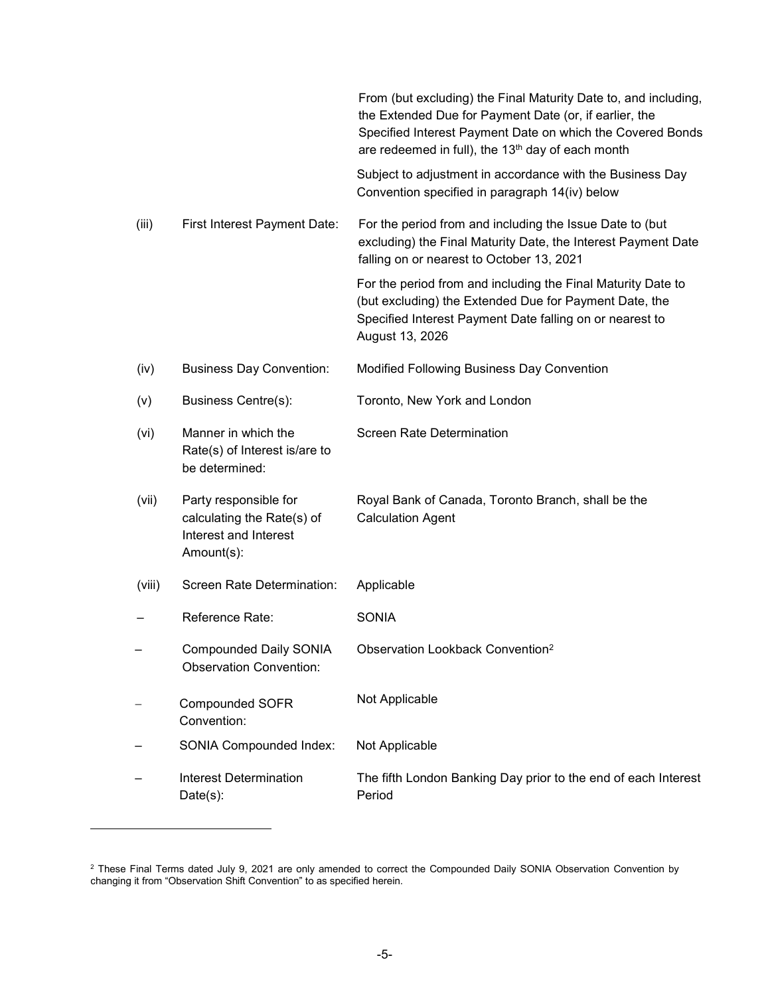|        |                                                                                            | From (but excluding) the Final Maturity Date to, and including,<br>the Extended Due for Payment Date (or, if earlier, the<br>Specified Interest Payment Date on which the Covered Bonds<br>are redeemed in full), the 13 <sup>th</sup> day of each month |
|--------|--------------------------------------------------------------------------------------------|----------------------------------------------------------------------------------------------------------------------------------------------------------------------------------------------------------------------------------------------------------|
|        |                                                                                            | Subject to adjustment in accordance with the Business Day<br>Convention specified in paragraph 14(iv) below                                                                                                                                              |
| (iii)  | First Interest Payment Date:                                                               | For the period from and including the Issue Date to (but<br>excluding) the Final Maturity Date, the Interest Payment Date<br>falling on or nearest to October 13, 2021                                                                                   |
|        |                                                                                            | For the period from and including the Final Maturity Date to<br>(but excluding) the Extended Due for Payment Date, the<br>Specified Interest Payment Date falling on or nearest to<br>August 13, 2026                                                    |
| (iv)   | <b>Business Day Convention:</b>                                                            | Modified Following Business Day Convention                                                                                                                                                                                                               |
| (v)    | Business Centre(s):                                                                        | Toronto, New York and London                                                                                                                                                                                                                             |
| (vi)   | Manner in which the<br>Rate(s) of Interest is/are to<br>be determined:                     | <b>Screen Rate Determination</b>                                                                                                                                                                                                                         |
| (vii)  | Party responsible for<br>calculating the Rate(s) of<br>Interest and Interest<br>Amount(s): | Royal Bank of Canada, Toronto Branch, shall be the<br><b>Calculation Agent</b>                                                                                                                                                                           |
| (viii) | Screen Rate Determination:                                                                 | Applicable                                                                                                                                                                                                                                               |
|        | Reference Rate:                                                                            | <b>SONIA</b>                                                                                                                                                                                                                                             |
|        | <b>Compounded Daily SONIA</b><br><b>Observation Convention:</b>                            | Observation Lookback Convention <sup>2</sup>                                                                                                                                                                                                             |
|        | <b>Compounded SOFR</b><br>Convention:                                                      | Not Applicable                                                                                                                                                                                                                                           |
|        | <b>SONIA Compounded Index:</b>                                                             | Not Applicable                                                                                                                                                                                                                                           |
|        | <b>Interest Determination</b><br>$Date(s)$ :                                               | The fifth London Banking Day prior to the end of each Interest<br>Period                                                                                                                                                                                 |

-

<sup>&</sup>lt;sup>2</sup> These Final Terms dated July 9, 2021 are only amended to correct the Compounded Daily SONIA Observation Convention by changing it from "Observation Shift Convention" to as specified herein.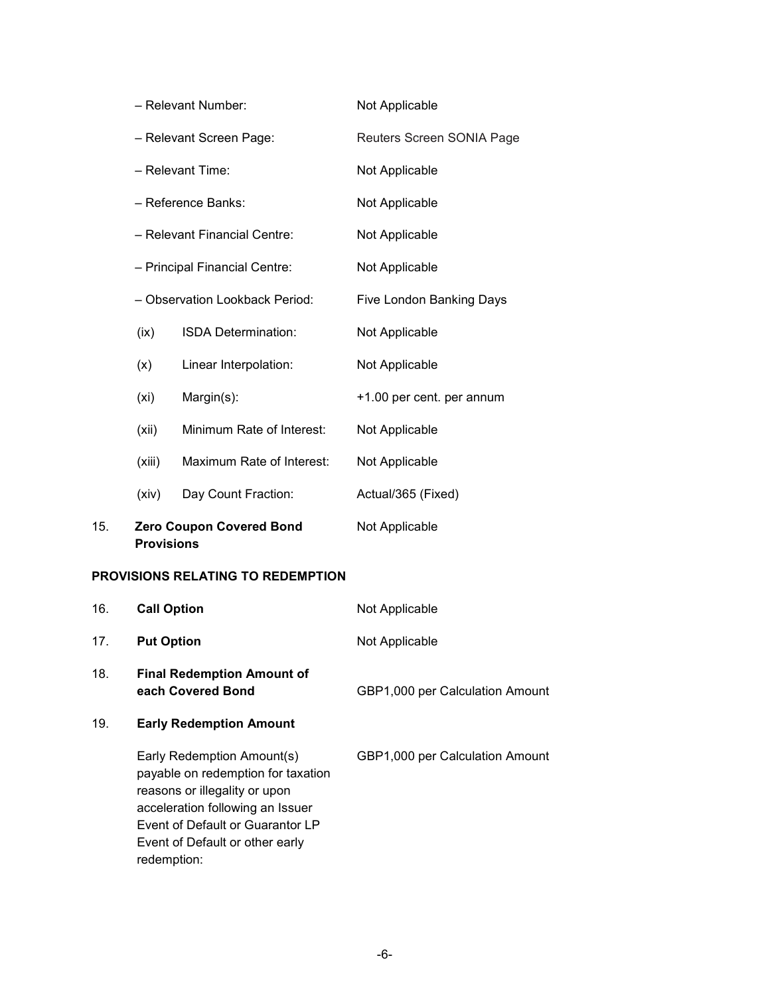| 15. | <b>Provisions</b>                                                                                                     | <b>Zero Coupon Covered Bond</b> | Not Applicable                                     |  |
|-----|-----------------------------------------------------------------------------------------------------------------------|---------------------------------|----------------------------------------------------|--|
|     | (xiv)                                                                                                                 | Day Count Fraction:             | Actual/365 (Fixed)                                 |  |
|     | (xiii)                                                                                                                | Maximum Rate of Interest:       | Not Applicable                                     |  |
|     | (xii)                                                                                                                 | Minimum Rate of Interest:       | Not Applicable                                     |  |
|     | (x <sub>i</sub> )                                                                                                     | Margin(s):                      | +1.00 per cent. per annum                          |  |
|     | (x)                                                                                                                   | Linear Interpolation:           | Not Applicable                                     |  |
|     | (ix)                                                                                                                  | ISDA Determination:             | Not Applicable                                     |  |
|     | - Reference Banks:<br>- Relevant Financial Centre:<br>- Principal Financial Centre:<br>- Observation Lookback Period: |                                 | Five London Banking Days                           |  |
|     |                                                                                                                       |                                 | Not Applicable<br>Not Applicable<br>Not Applicable |  |
|     |                                                                                                                       |                                 |                                                    |  |
|     |                                                                                                                       |                                 |                                                    |  |
|     |                                                                                                                       | - Relevant Time:                | Not Applicable                                     |  |
|     | - Relevant Screen Page:                                                                                               |                                 | Reuters Screen SONIA Page                          |  |
|     |                                                                                                                       | - Relevant Number:              | Not Applicable                                     |  |

# **PROVISIONS RELATING TO REDEMPTION**

| 16. | <b>Call Option</b>                                                                                                                                                                                                          | Not Applicable                  |
|-----|-----------------------------------------------------------------------------------------------------------------------------------------------------------------------------------------------------------------------------|---------------------------------|
| 17. | <b>Put Option</b>                                                                                                                                                                                                           | Not Applicable                  |
| 18. | <b>Final Redemption Amount of</b><br>each Covered Bond                                                                                                                                                                      | GBP1,000 per Calculation Amount |
| 19. | <b>Early Redemption Amount</b>                                                                                                                                                                                              |                                 |
|     | Early Redemption Amount(s)<br>payable on redemption for taxation<br>reasons or illegality or upon<br>acceleration following an Issuer<br>Event of Default or Guarantor LP<br>Event of Default or other early<br>redemption: | GBP1,000 per Calculation Amount |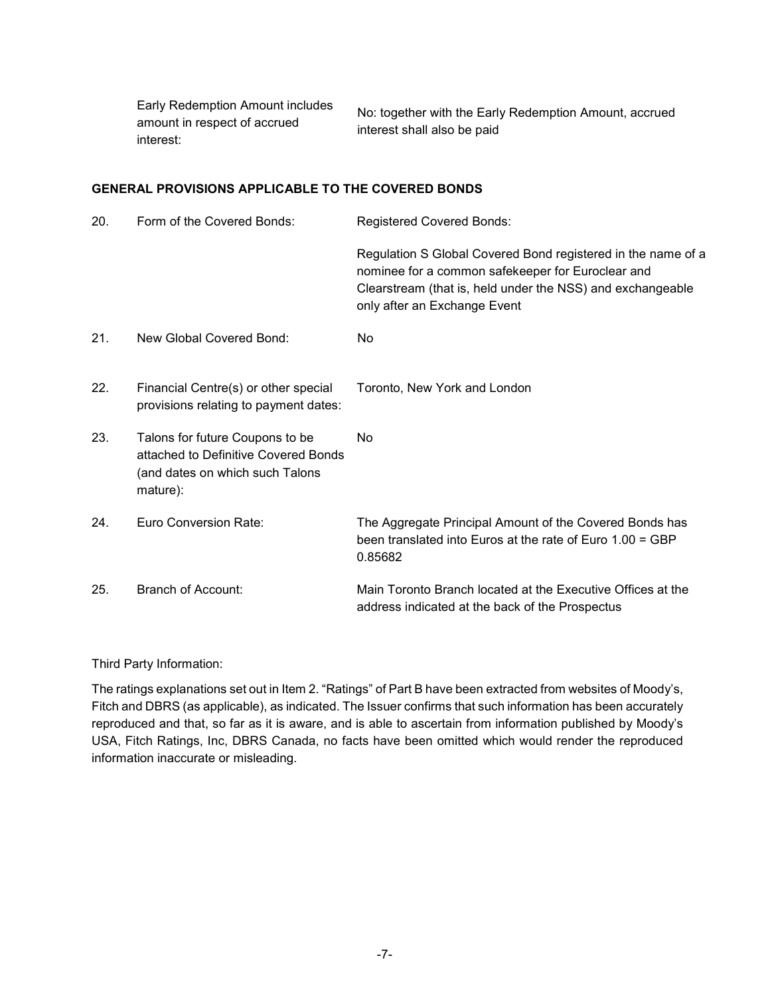Early Redemption Amount includes amount in respect of accrued interest:

No: together with the Early Redemption Amount, accrued interest shall also be paid

## **GENERAL PROVISIONS APPLICABLE TO THE COVERED BONDS**

| 20. | Form of the Covered Bonds:                                                                                             | <b>Registered Covered Bonds:</b>                                                                                                                                                                                |
|-----|------------------------------------------------------------------------------------------------------------------------|-----------------------------------------------------------------------------------------------------------------------------------------------------------------------------------------------------------------|
|     |                                                                                                                        | Regulation S Global Covered Bond registered in the name of a<br>nominee for a common safekeeper for Euroclear and<br>Clearstream (that is, held under the NSS) and exchangeable<br>only after an Exchange Event |
| 21. | New Global Covered Bond:                                                                                               | <b>No</b>                                                                                                                                                                                                       |
| 22. | Financial Centre(s) or other special<br>provisions relating to payment dates:                                          | Toronto, New York and London                                                                                                                                                                                    |
| 23. | Talons for future Coupons to be<br>attached to Definitive Covered Bonds<br>(and dates on which such Talons<br>mature): | <b>No</b>                                                                                                                                                                                                       |
| 24. | Euro Conversion Rate:                                                                                                  | The Aggregate Principal Amount of the Covered Bonds has<br>been translated into Euros at the rate of Euro 1.00 = GBP<br>0.85682                                                                                 |
| 25. | Branch of Account:                                                                                                     | Main Toronto Branch located at the Executive Offices at the<br>address indicated at the back of the Prospectus                                                                                                  |

#### Third Party Information:

The ratings explanations set out in Item 2. "Ratings" of Part B have been extracted from websites of Moody's, Fitch and DBRS (as applicable), as indicated. The Issuer confirms that such information has been accurately reproduced and that, so far as it is aware, and is able to ascertain from information published by Moody's USA, Fitch Ratings, Inc, DBRS Canada, no facts have been omitted which would render the reproduced information inaccurate or misleading.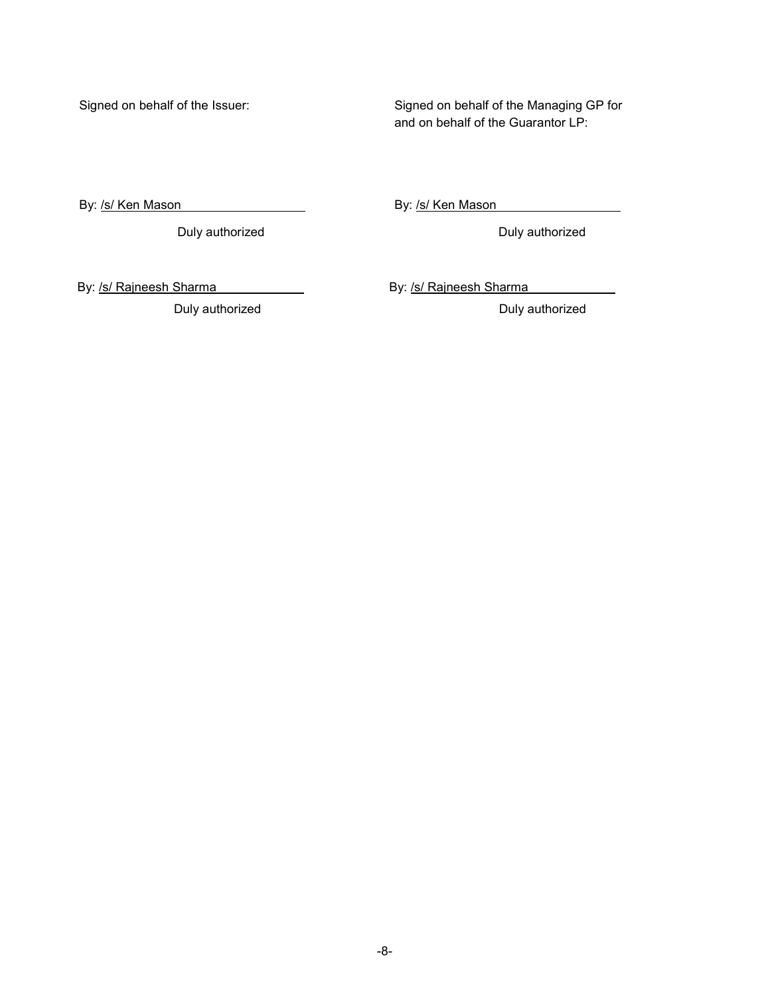Signed on behalf of the Issuer:

Signed on behalf of the Managing GP for and on behalf of the Guarantor LP:

By: /s/ Ken Mason

Duly authorized **Duly authorized** Duly authorized

By: /s/ Ken Mason

Duly authorized **Duly authorized** Duly authorized

By: /s/ Rajneesh Sharma By: /s/ Rajneesh Sharma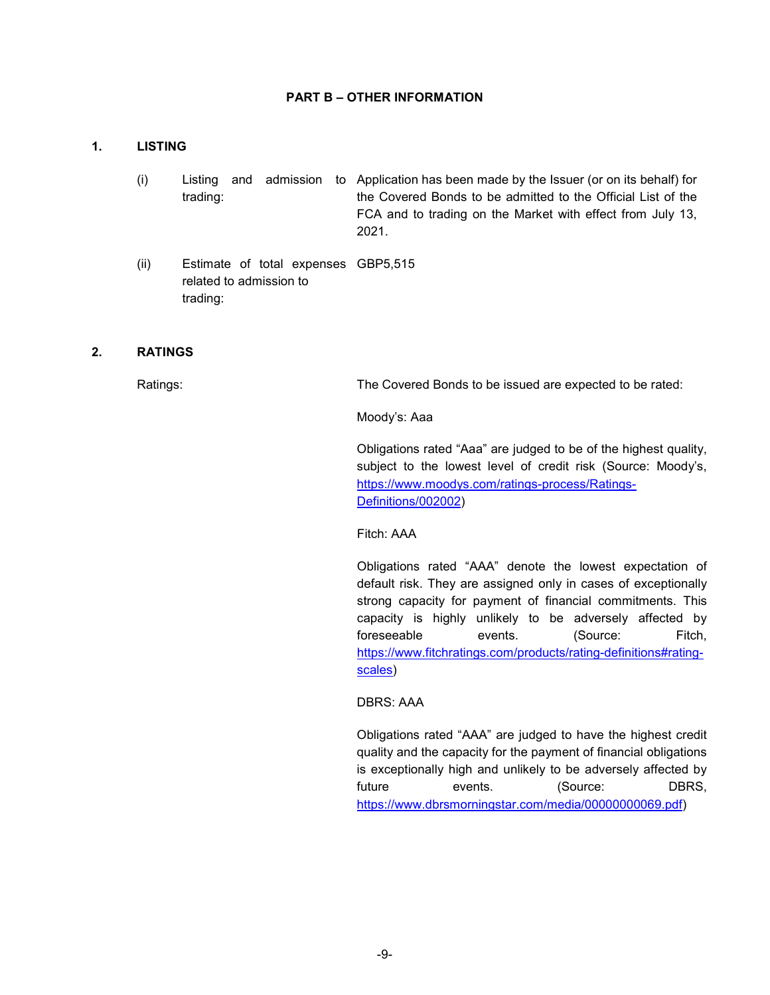#### **PART B – OTHER INFORMATION**

#### **1. LISTING**

- (i) Listing and admission to Application has been made by the Issuer (or on its behalf) for trading: the Covered Bonds to be admitted to the Official List of the FCA and to trading on the Market with effect from July 13, 2021.
- (ii) Estimate of total expenses GBP5,515 related to admission to trading:

#### **2. RATINGS**

Ratings: The Covered Bonds to be issued are expected to be rated:

Moody's: Aaa

Obligations rated "Aaa" are judged to be of the highest quality, subject to the lowest level of credit risk (Source: Moody's, https://www.moodys.com/ratings-process/Ratings-Definitions/002002)

Fitch: AAA

Obligations rated "AAA" denote the lowest expectation of default risk. They are assigned only in cases of exceptionally strong capacity for payment of financial commitments. This capacity is highly unlikely to be adversely affected by foreseeable events. (Source: Fitch, https://www.fitchratings.com/products/rating-definitions#ratingscales)

DBRS: AAA

Obligations rated "AAA" are judged to have the highest credit quality and the capacity for the payment of financial obligations is exceptionally high and unlikely to be adversely affected by future events. (Source: DBRS, https://www.dbrsmorningstar.com/media/00000000069.pdf)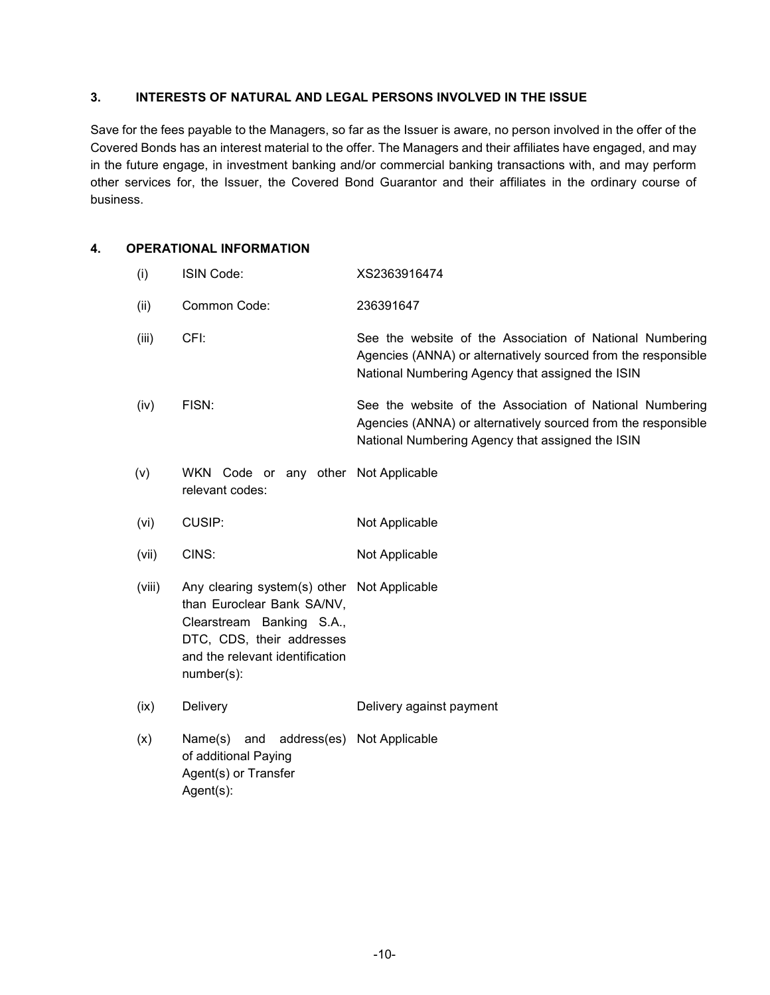## **3. INTERESTS OF NATURAL AND LEGAL PERSONS INVOLVED IN THE ISSUE**

Save for the fees payable to the Managers, so far as the Issuer is aware, no person involved in the offer of the Covered Bonds has an interest material to the offer. The Managers and their affiliates have engaged, and may in the future engage, in investment banking and/or commercial banking transactions with, and may perform other services for, the Issuer, the Covered Bond Guarantor and their affiliates in the ordinary course of business.

## **4. OPERATIONAL INFORMATION**

 (i) ISIN Code: XS2363916474 (ii) Common Code: 236391647 (iii) CFI: See the website of the Association of National Numbering Agencies (ANNA) or alternatively sourced from the responsible National Numbering Agency that assigned the ISIN (iv) FISN: See the website of the Association of National Numbering Agencies (ANNA) or alternatively sourced from the responsible National Numbering Agency that assigned the ISIN (v) WKN Code or any other Not Applicable relevant codes: (vi) CUSIP: Not Applicable (vii) CINS: Not Applicable (viii) Any clearing system(s) other Not Applicable than Euroclear Bank SA/NV, Clearstream Banking S.A., DTC, CDS, their addresses and the relevant identification number(s): (ix) Delivery Delivery against payment (x) Name(s) and address(es) Not Applicable of additional Paying Agent(s) or Transfer Agent(s):